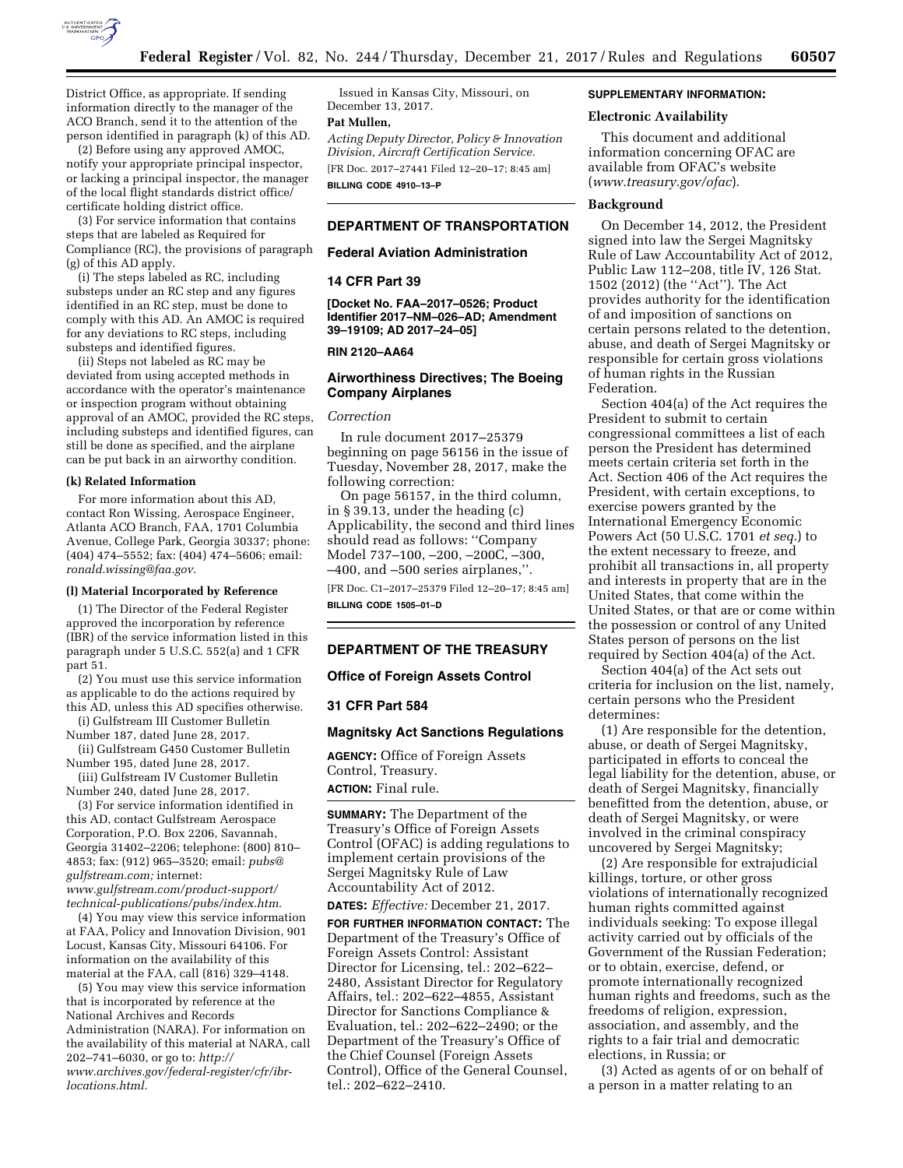

District Office, as appropriate. If sending information directly to the manager of the ACO Branch, send it to the attention of the person identified in paragraph (k) of this AD.

(2) Before using any approved AMOC, notify your appropriate principal inspector, or lacking a principal inspector, the manager of the local flight standards district office/ certificate holding district office.

(3) For service information that contains steps that are labeled as Required for Compliance (RC), the provisions of paragraph (g) of this AD apply.

(i) The steps labeled as RC, including substeps under an RC step and any figures identified in an RC step, must be done to comply with this AD. An AMOC is required for any deviations to RC steps, including substeps and identified figures.

(ii) Steps not labeled as RC may be deviated from using accepted methods in accordance with the operator's maintenance or inspection program without obtaining approval of an AMOC, provided the RC steps, including substeps and identified figures, can still be done as specified, and the airplane can be put back in an airworthy condition.

### **(k) Related Information**

For more information about this AD, contact Ron Wissing, Aerospace Engineer, Atlanta ACO Branch, FAA, 1701 Columbia Avenue, College Park, Georgia 30337; phone: (404) 474–5552; fax: (404) 474–5606; email: *[ronald.wissing@faa.gov.](mailto:ronald.wissing@faa.gov)* 

## **(l) Material Incorporated by Reference**

(1) The Director of the Federal Register approved the incorporation by reference (IBR) of the service information listed in this paragraph under 5 U.S.C. 552(a) and 1 CFR part 51.

(2) You must use this service information as applicable to do the actions required by this AD, unless this AD specifies otherwise.

(i) Gulfstream III Customer Bulletin Number 187, dated June 28, 2017.

(ii) Gulfstream G450 Customer Bulletin Number 195, dated June 28, 2017.

(iii) Gulfstream IV Customer Bulletin Number 240, dated June 28, 2017.

(3) For service information identified in this AD, contact Gulfstream Aerospace Corporation, P.O. Box 2206, Savannah, Georgia 31402–2206; telephone: (800) 810– 4853; fax: (912) 965–3520; email: *[pubs@](mailto:pubs@gulfstream.com) [gulfstream.com;](mailto:pubs@gulfstream.com)* internet: *[www.gulfstream.com/product-support/](http://www.gulfstream.com/product-support/technical-publications/pubs/index.htm)* 

*[technical-publications/pubs/index.htm.](http://www.gulfstream.com/product-support/technical-publications/pubs/index.htm)*  (4) You may view this service information at FAA, Policy and Innovation Division, 901

Locust, Kansas City, Missouri 64106. For information on the availability of this material at the FAA, call (816) 329–4148. (5) You may view this service information

that is incorporated by reference at the National Archives and Records Administration (NARA). For information on the availability of this material at NARA, call 202–741–6030, or go to: *[http://](http://www.archives.gov/federal-register/cfr/ibr-locations.html) [www.archives.gov/federal-register/cfr/ibr](http://www.archives.gov/federal-register/cfr/ibr-locations.html)[locations.html.](http://www.archives.gov/federal-register/cfr/ibr-locations.html)* 

Issued in Kansas City, Missouri, on December 13, 2017. **Pat Mullen,** 

*Acting Deputy Director, Policy & Innovation Division, Aircraft Certification Service.*  [FR Doc. 2017–27441 Filed 12–20–17; 8:45 am]

**BILLING CODE 4910–13–P** 

# **DEPARTMENT OF TRANSPORTATION**

## **Federal Aviation Administration**

# **14 CFR Part 39**

**[Docket No. FAA–2017–0526; Product Identifier 2017–NM–026–AD; Amendment 39–19109; AD 2017–24–05]** 

### **RIN 2120–AA64**

# **Airworthiness Directives; The Boeing Company Airplanes**

# *Correction*

In rule document 2017–25379 beginning on page 56156 in the issue of Tuesday, November 28, 2017, make the following correction:

On page 56157, in the third column, in § 39.13, under the heading (c) Applicability, the second and third lines should read as follows: ''Company Model 737–100, –200, –200C, –300, –400, and –500 series airplanes,''.

[FR Doc. C1–2017–25379 Filed 12–20–17; 8:45 am] **BILLING CODE 1505–01–D** 

# **DEPARTMENT OF THE TREASURY**

# **Office of Foreign Assets Control**

### **31 CFR Part 584**

# **Magnitsky Act Sanctions Regulations**

**AGENCY:** Office of Foreign Assets Control, Treasury. **ACTION:** Final rule.

**SUMMARY:** The Department of the Treasury's Office of Foreign Assets Control (OFAC) is adding regulations to implement certain provisions of the Sergei Magnitsky Rule of Law Accountability Act of 2012.

**DATES:** *Effective:* December 21, 2017.

**FOR FURTHER INFORMATION CONTACT:** The Department of the Treasury's Office of Foreign Assets Control: Assistant Director for Licensing, tel.: 202–622– 2480, Assistant Director for Regulatory Affairs, tel.: 202–622–4855, Assistant Director for Sanctions Compliance & Evaluation, tel.: 202–622–2490; or the Department of the Treasury's Office of the Chief Counsel (Foreign Assets Control), Office of the General Counsel, tel.: 202–622–2410.

# **SUPPLEMENTARY INFORMATION:**

# **Electronic Availability**

This document and additional information concerning OFAC are available from OFAC's website (*[www.treasury.gov/ofac](http://www.treasury.gov/ofac)*).

#### **Background**

On December 14, 2012, the President signed into law the Sergei Magnitsky Rule of Law Accountability Act of 2012, Public Law 112–208, title IV, 126 Stat. 1502 (2012) (the ''Act''). The Act provides authority for the identification of and imposition of sanctions on certain persons related to the detention, abuse, and death of Sergei Magnitsky or responsible for certain gross violations of human rights in the Russian Federation.

Section 404(a) of the Act requires the President to submit to certain congressional committees a list of each person the President has determined meets certain criteria set forth in the Act. Section 406 of the Act requires the President, with certain exceptions, to exercise powers granted by the International Emergency Economic Powers Act (50 U.S.C. 1701 *et seq.*) to the extent necessary to freeze, and prohibit all transactions in, all property and interests in property that are in the United States, that come within the United States, or that are or come within the possession or control of any United States person of persons on the list required by Section 404(a) of the Act.

Section 404(a) of the Act sets out criteria for inclusion on the list, namely, certain persons who the President determines:

(1) Are responsible for the detention, abuse, or death of Sergei Magnitsky, participated in efforts to conceal the legal liability for the detention, abuse, or death of Sergei Magnitsky, financially benefitted from the detention, abuse, or death of Sergei Magnitsky, or were involved in the criminal conspiracy uncovered by Sergei Magnitsky;

(2) Are responsible for extrajudicial killings, torture, or other gross violations of internationally recognized human rights committed against individuals seeking: To expose illegal activity carried out by officials of the Government of the Russian Federation; or to obtain, exercise, defend, or promote internationally recognized human rights and freedoms, such as the freedoms of religion, expression, association, and assembly, and the rights to a fair trial and democratic elections, in Russia; or

(3) Acted as agents of or on behalf of a person in a matter relating to an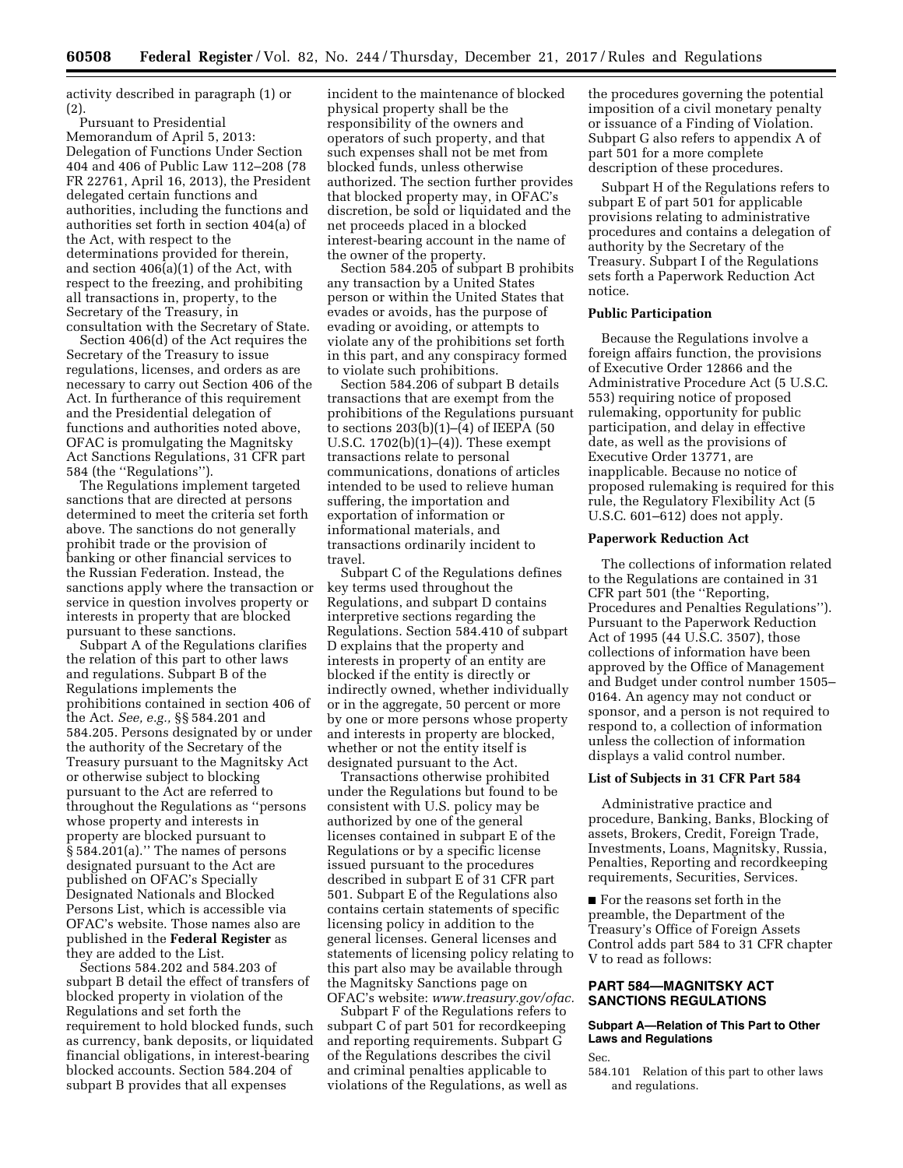activity described in paragraph (1) or  $(2)$ 

Pursuant to Presidential Memorandum of April 5, 2013: Delegation of Functions Under Section 404 and 406 of Public Law 112–208 (78 FR 22761, April 16, 2013), the President delegated certain functions and authorities, including the functions and authorities set forth in section 404(a) of the Act, with respect to the determinations provided for therein, and section 406(a)(1) of the Act, with respect to the freezing, and prohibiting all transactions in, property, to the Secretary of the Treasury, in consultation with the Secretary of State.

Section 406(d) of the Act requires the Secretary of the Treasury to issue regulations, licenses, and orders as are necessary to carry out Section 406 of the Act. In furtherance of this requirement and the Presidential delegation of functions and authorities noted above, OFAC is promulgating the Magnitsky Act Sanctions Regulations, 31 CFR part 584 (the ''Regulations'').

The Regulations implement targeted sanctions that are directed at persons determined to meet the criteria set forth above. The sanctions do not generally prohibit trade or the provision of banking or other financial services to the Russian Federation. Instead, the sanctions apply where the transaction or service in question involves property or interests in property that are blocked pursuant to these sanctions.

Subpart A of the Regulations clarifies the relation of this part to other laws and regulations. Subpart B of the Regulations implements the prohibitions contained in section 406 of the Act. *See, e.g.,* §§ 584.201 and 584.205. Persons designated by or under the authority of the Secretary of the Treasury pursuant to the Magnitsky Act or otherwise subject to blocking pursuant to the Act are referred to throughout the Regulations as ''persons whose property and interests in property are blocked pursuant to § 584.201(a).'' The names of persons designated pursuant to the Act are published on OFAC's Specially Designated Nationals and Blocked Persons List, which is accessible via OFAC's website. Those names also are published in the **Federal Register** as they are added to the List.

Sections 584.202 and 584.203 of subpart B detail the effect of transfers of blocked property in violation of the Regulations and set forth the requirement to hold blocked funds, such as currency, bank deposits, or liquidated financial obligations, in interest-bearing blocked accounts. Section 584.204 of subpart B provides that all expenses

incident to the maintenance of blocked physical property shall be the responsibility of the owners and operators of such property, and that such expenses shall not be met from blocked funds, unless otherwise authorized. The section further provides that blocked property may, in OFAC's discretion, be sold or liquidated and the net proceeds placed in a blocked interest-bearing account in the name of the owner of the property.

Section 584.205 of subpart B prohibits any transaction by a United States person or within the United States that evades or avoids, has the purpose of evading or avoiding, or attempts to violate any of the prohibitions set forth in this part, and any conspiracy formed to violate such prohibitions.

Section 584.206 of subpart B details transactions that are exempt from the prohibitions of the Regulations pursuant to sections 203(b)(1)–(4) of IEEPA (50 U.S.C. 1702(b)(1)–(4)). These exempt transactions relate to personal communications, donations of articles intended to be used to relieve human suffering, the importation and exportation of information or informational materials, and transactions ordinarily incident to travel.

Subpart C of the Regulations defines key terms used throughout the Regulations, and subpart D contains interpretive sections regarding the Regulations. Section 584.410 of subpart D explains that the property and interests in property of an entity are blocked if the entity is directly or indirectly owned, whether individually or in the aggregate, 50 percent or more by one or more persons whose property and interests in property are blocked, whether or not the entity itself is designated pursuant to the Act.

Transactions otherwise prohibited under the Regulations but found to be consistent with U.S. policy may be authorized by one of the general licenses contained in subpart E of the Regulations or by a specific license issued pursuant to the procedures described in subpart E of 31 CFR part 501. Subpart E of the Regulations also contains certain statements of specific licensing policy in addition to the general licenses. General licenses and statements of licensing policy relating to this part also may be available through the Magnitsky Sanctions page on OFAC's website: *[www.treasury.gov/ofac.](http://www.treasury.gov/ofac)* 

Subpart F of the Regulations refers to subpart C of part 501 for recordkeeping and reporting requirements. Subpart G of the Regulations describes the civil and criminal penalties applicable to violations of the Regulations, as well as

the procedures governing the potential imposition of a civil monetary penalty or issuance of a Finding of Violation. Subpart G also refers to appendix A of part 501 for a more complete description of these procedures.

Subpart H of the Regulations refers to subpart E of part 501 for applicable provisions relating to administrative procedures and contains a delegation of authority by the Secretary of the Treasury. Subpart I of the Regulations sets forth a Paperwork Reduction Act notice.

# **Public Participation**

Because the Regulations involve a foreign affairs function, the provisions of Executive Order 12866 and the Administrative Procedure Act (5 U.S.C. 553) requiring notice of proposed rulemaking, opportunity for public participation, and delay in effective date, as well as the provisions of Executive Order 13771, are inapplicable. Because no notice of proposed rulemaking is required for this rule, the Regulatory Flexibility Act (5 U.S.C. 601–612) does not apply.

# **Paperwork Reduction Act**

The collections of information related to the Regulations are contained in 31 CFR part 501 (the ''Reporting, Procedures and Penalties Regulations''). Pursuant to the Paperwork Reduction Act of 1995 (44 U.S.C. 3507), those collections of information have been approved by the Office of Management and Budget under control number 1505– 0164. An agency may not conduct or sponsor, and a person is not required to respond to, a collection of information unless the collection of information displays a valid control number.

# **List of Subjects in 31 CFR Part 584**

Administrative practice and procedure, Banking, Banks, Blocking of assets, Brokers, Credit, Foreign Trade, Investments, Loans, Magnitsky, Russia, Penalties, Reporting and recordkeeping requirements, Securities, Services.

■ For the reasons set forth in the preamble, the Department of the Treasury's Office of Foreign Assets Control adds part 584 to 31 CFR chapter V to read as follows:

# **PART 584—MAGNITSKY ACT SANCTIONS REGULATIONS**

# **Subpart A—Relation of This Part to Other Laws and Regulations**

Sec.

584.101 Relation of this part to other laws and regulations.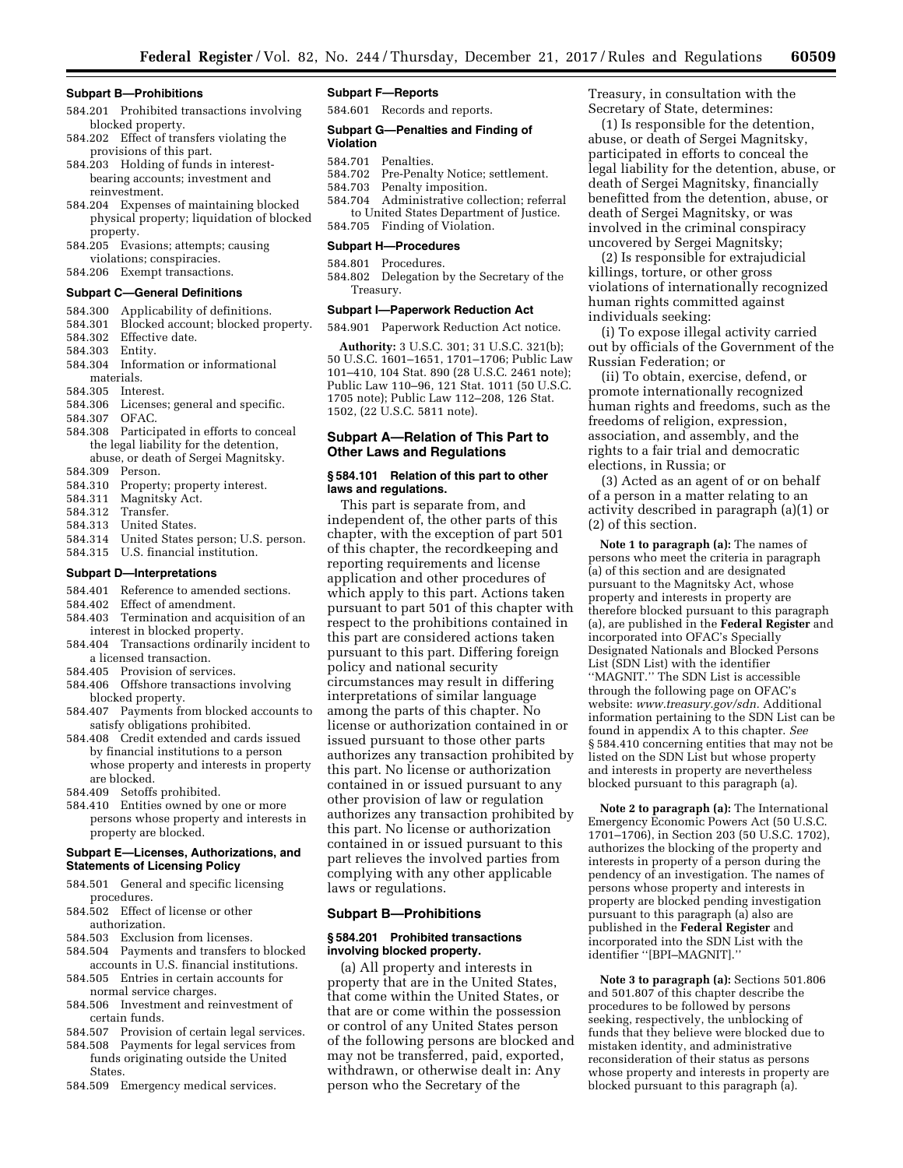### **Subpart B—Prohibitions**

- 584.201 Prohibited transactions involving blocked property.
- 584.202 Effect of transfers violating the provisions of this part.
- 584.203 Holding of funds in interestbearing accounts; investment and reinvestment.
- 584.204 Expenses of maintaining blocked physical property; liquidation of blocked property.
- 584.205 Evasions; attempts; causing violations; conspiracies.
- 584.206 Exempt transactions.

# **Subpart C—General Definitions**

- 584.300 Applicability of definitions.
- 584.301 Blocked account; blocked property.
- 584.302 Effective date.
- 584.303 Entity.
- 584.304 Information or informational materials.
- 
- 584.305 Interest.<br>584.306 Licenses Licenses; general and specific. 584.307 OFAC.
- 584.308 Participated in efforts to conceal the legal liability for the detention, abuse, or death of Sergei Magnitsky.
- 584.309 Person.
- 584.310 Property; property interest.
- 584.311 Magnitsky Act.
- 
- 584.312 Transfer. United States.
- 584.314 United States person; U.S. person.
- 584.315 U.S. financial institution.

# **Subpart D—Interpretations**

- 584.401 Reference to amended sections.
- 584.402 Effect of amendment.
- 584.403 Termination and acquisition of an interest in blocked property.
- 584.404 Transactions ordinarily incident to a licensed transaction.
- 584.405 Provision of services.
- 584.406 Offshore transactions involving blocked property.
- 584.407 Payments from blocked accounts to satisfy obligations prohibited.
- 584.408 Credit extended and cards issued by financial institutions to a person whose property and interests in property are blocked.
- 584.409 Setoffs prohibited.
- 584.410 Entities owned by one or more persons whose property and interests in property are blocked.

## **Subpart E—Licenses, Authorizations, and Statements of Licensing Policy**

- 584.501 General and specific licensing procedures.
- 584.502 Effect of license or other authorization.
- 584.503 Exclusion from licenses.
- 584.504 Payments and transfers to blocked accounts in U.S. financial institutions.
- 584.505 Entries in certain accounts for normal service charges.
- 584.506 Investment and reinvestment of certain funds.
- 584.507 Provision of certain legal services.
- 584.508 Payments for legal services from funds originating outside the United
- 584.509 Emergency medical services.

**States** 

# **Subpart F—Reports**

584.601 Records and reports.

### **Subpart G—Penalties and Finding of**

# **Violation**

- 584.701 Penalties.
- 584.702 Pre-Penalty Notice; settlement.<br>584.703 Penalty imposition. Penalty imposition.
- 
- 584.704 Administrative collection; referral to United States Department of Justice. 584.705 Finding of Violation.

### **Subpart H—Procedures**

# 584.801 Procedures.

584.802 Delegation by the Secretary of the Treasury.

#### **Subpart I—Paperwork Reduction Act**

584.901 Paperwork Reduction Act notice.

**Authority:** 3 U.S.C. 301; 31 U.S.C. 321(b); 50 U.S.C. 1601–1651, 1701–1706; Public Law 101–410, 104 Stat. 890 (28 U.S.C. 2461 note); Public Law 110–96, 121 Stat. 1011 (50 U.S.C. 1705 note); Public Law 112–208, 126 Stat. 1502, (22 U.S.C. 5811 note).

# **Subpart A—Relation of This Part to Other Laws and Regulations**

## **§ 584.101 Relation of this part to other laws and regulations.**

This part is separate from, and independent of, the other parts of this chapter, with the exception of part 501 of this chapter, the recordkeeping and reporting requirements and license application and other procedures of which apply to this part. Actions taken pursuant to part 501 of this chapter with respect to the prohibitions contained in this part are considered actions taken pursuant to this part. Differing foreign policy and national security circumstances may result in differing interpretations of similar language among the parts of this chapter. No license or authorization contained in or issued pursuant to those other parts authorizes any transaction prohibited by this part. No license or authorization contained in or issued pursuant to any other provision of law or regulation authorizes any transaction prohibited by this part. No license or authorization contained in or issued pursuant to this part relieves the involved parties from complying with any other applicable laws or regulations.

# **Subpart B—Prohibitions**

# **§ 584.201 Prohibited transactions involving blocked property.**

(a) All property and interests in property that are in the United States, that come within the United States, or that are or come within the possession or control of any United States person of the following persons are blocked and may not be transferred, paid, exported, withdrawn, or otherwise dealt in: Any person who the Secretary of the

Treasury, in consultation with the Secretary of State, determines:

(1) Is responsible for the detention, abuse, or death of Sergei Magnitsky, participated in efforts to conceal the legal liability for the detention, abuse, or death of Sergei Magnitsky, financially benefitted from the detention, abuse, or death of Sergei Magnitsky, or was involved in the criminal conspiracy uncovered by Sergei Magnitsky;

(2) Is responsible for extrajudicial killings, torture, or other gross violations of internationally recognized human rights committed against individuals seeking:

(i) To expose illegal activity carried out by officials of the Government of the Russian Federation; or

(ii) To obtain, exercise, defend, or promote internationally recognized human rights and freedoms, such as the freedoms of religion, expression, association, and assembly, and the rights to a fair trial and democratic elections, in Russia; or

(3) Acted as an agent of or on behalf of a person in a matter relating to an activity described in paragraph (a)(1) or (2) of this section.

**Note 1 to paragraph (a):** The names of persons who meet the criteria in paragraph (a) of this section and are designated pursuant to the Magnitsky Act, whose property and interests in property are therefore blocked pursuant to this paragraph (a), are published in the **Federal Register** and incorporated into OFAC's Specially Designated Nationals and Blocked Persons List (SDN List) with the identifier ''MAGNIT.'' The SDN List is accessible through the following page on OFAC's website: *[www.treasury.gov/sdn.](http://www.treasury.gov/sdn)* Additional information pertaining to the SDN List can be found in appendix A to this chapter. *See*  § 584.410 concerning entities that may not be listed on the SDN List but whose property and interests in property are nevertheless blocked pursuant to this paragraph (a).

**Note 2 to paragraph (a):** The International Emergency Economic Powers Act (50 U.S.C. 1701–1706), in Section 203 (50 U.S.C. 1702), authorizes the blocking of the property and interests in property of a person during the pendency of an investigation. The names of persons whose property and interests in property are blocked pending investigation pursuant to this paragraph (a) also are published in the **Federal Register** and incorporated into the SDN List with the identifier ''[BPI–MAGNIT].''

**Note 3 to paragraph (a):** Sections 501.806 and 501.807 of this chapter describe the procedures to be followed by persons seeking, respectively, the unblocking of funds that they believe were blocked due to mistaken identity, and administrative reconsideration of their status as persons whose property and interests in property are blocked pursuant to this paragraph (a).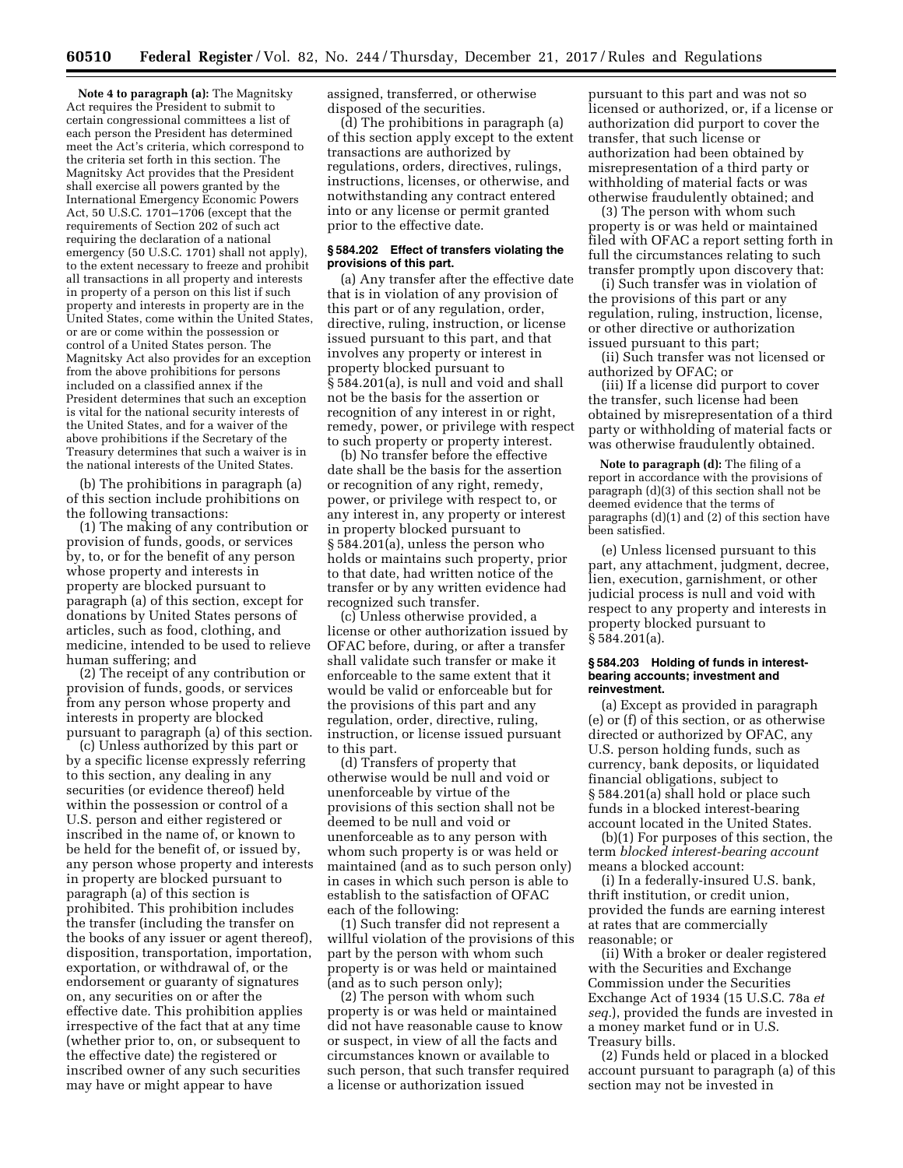**Note 4 to paragraph (a):** The Magnitsky Act requires the President to submit to certain congressional committees a list of each person the President has determined meet the Act's criteria, which correspond to the criteria set forth in this section. The Magnitsky Act provides that the President shall exercise all powers granted by the International Emergency Economic Powers Act, 50 U.S.C. 1701–1706 (except that the requirements of Section 202 of such act requiring the declaration of a national emergency (50 U.S.C. 1701) shall not apply), to the extent necessary to freeze and prohibit all transactions in all property and interests in property of a person on this list if such property and interests in property are in the United States, come within the United States, or are or come within the possession or control of a United States person. The Magnitsky Act also provides for an exception from the above prohibitions for persons included on a classified annex if the President determines that such an exception is vital for the national security interests of the United States, and for a waiver of the above prohibitions if the Secretary of the Treasury determines that such a waiver is in the national interests of the United States.

(b) The prohibitions in paragraph (a) of this section include prohibitions on the following transactions:

(1) The making of any contribution or provision of funds, goods, or services by, to, or for the benefit of any person whose property and interests in property are blocked pursuant to paragraph (a) of this section, except for donations by United States persons of articles, such as food, clothing, and medicine, intended to be used to relieve human suffering; and

(2) The receipt of any contribution or provision of funds, goods, or services from any person whose property and interests in property are blocked pursuant to paragraph (a) of this section.

(c) Unless authorized by this part or by a specific license expressly referring to this section, any dealing in any securities (or evidence thereof) held within the possession or control of a U.S. person and either registered or inscribed in the name of, or known to be held for the benefit of, or issued by, any person whose property and interests in property are blocked pursuant to paragraph (a) of this section is prohibited. This prohibition includes the transfer (including the transfer on the books of any issuer or agent thereof), disposition, transportation, importation, exportation, or withdrawal of, or the endorsement or guaranty of signatures on, any securities on or after the effective date. This prohibition applies irrespective of the fact that at any time (whether prior to, on, or subsequent to the effective date) the registered or inscribed owner of any such securities may have or might appear to have

assigned, transferred, or otherwise disposed of the securities.

(d) The prohibitions in paragraph (a) of this section apply except to the extent transactions are authorized by regulations, orders, directives, rulings, instructions, licenses, or otherwise, and notwithstanding any contract entered into or any license or permit granted prior to the effective date.

# **§ 584.202 Effect of transfers violating the provisions of this part.**

(a) Any transfer after the effective date that is in violation of any provision of this part or of any regulation, order, directive, ruling, instruction, or license issued pursuant to this part, and that involves any property or interest in property blocked pursuant to § 584.201(a), is null and void and shall not be the basis for the assertion or recognition of any interest in or right, remedy, power, or privilege with respect to such property or property interest.

(b) No transfer before the effective date shall be the basis for the assertion or recognition of any right, remedy, power, or privilege with respect to, or any interest in, any property or interest in property blocked pursuant to § 584.201(a), unless the person who holds or maintains such property, prior to that date, had written notice of the transfer or by any written evidence had recognized such transfer.

(c) Unless otherwise provided, a license or other authorization issued by OFAC before, during, or after a transfer shall validate such transfer or make it enforceable to the same extent that it would be valid or enforceable but for the provisions of this part and any regulation, order, directive, ruling, instruction, or license issued pursuant to this part.

(d) Transfers of property that otherwise would be null and void or unenforceable by virtue of the provisions of this section shall not be deemed to be null and void or unenforceable as to any person with whom such property is or was held or maintained (and as to such person only) in cases in which such person is able to establish to the satisfaction of OFAC each of the following:

(1) Such transfer did not represent a willful violation of the provisions of this part by the person with whom such property is or was held or maintained (and as to such person only);

(2) The person with whom such property is or was held or maintained did not have reasonable cause to know or suspect, in view of all the facts and circumstances known or available to such person, that such transfer required a license or authorization issued

pursuant to this part and was not so licensed or authorized, or, if a license or authorization did purport to cover the transfer, that such license or authorization had been obtained by misrepresentation of a third party or withholding of material facts or was otherwise fraudulently obtained; and

(3) The person with whom such property is or was held or maintained filed with OFAC a report setting forth in full the circumstances relating to such transfer promptly upon discovery that:

(i) Such transfer was in violation of the provisions of this part or any regulation, ruling, instruction, license, or other directive or authorization issued pursuant to this part;

(ii) Such transfer was not licensed or authorized by OFAC; or

(iii) If a license did purport to cover the transfer, such license had been obtained by misrepresentation of a third party or withholding of material facts or was otherwise fraudulently obtained.

**Note to paragraph (d):** The filing of a report in accordance with the provisions of paragraph (d)(3) of this section shall not be deemed evidence that the terms of paragraphs (d)(1) and (2) of this section have been satisfied.

(e) Unless licensed pursuant to this part, any attachment, judgment, decree, lien, execution, garnishment, or other judicial process is null and void with respect to any property and interests in property blocked pursuant to § 584.201(a).

## **§ 584.203 Holding of funds in interestbearing accounts; investment and reinvestment.**

(a) Except as provided in paragraph (e) or (f) of this section, or as otherwise directed or authorized by OFAC, any U.S. person holding funds, such as currency, bank deposits, or liquidated financial obligations, subject to § 584.201(a) shall hold or place such funds in a blocked interest-bearing account located in the United States.

(b)(1) For purposes of this section, the term *blocked interest-bearing account*  means a blocked account:

(i) In a federally-insured U.S. bank, thrift institution, or credit union, provided the funds are earning interest at rates that are commercially reasonable; or

(ii) With a broker or dealer registered with the Securities and Exchange Commission under the Securities Exchange Act of 1934 (15 U.S.C. 78a *et seq.*), provided the funds are invested in a money market fund or in U.S. Treasury bills.

(2) Funds held or placed in a blocked account pursuant to paragraph (a) of this section may not be invested in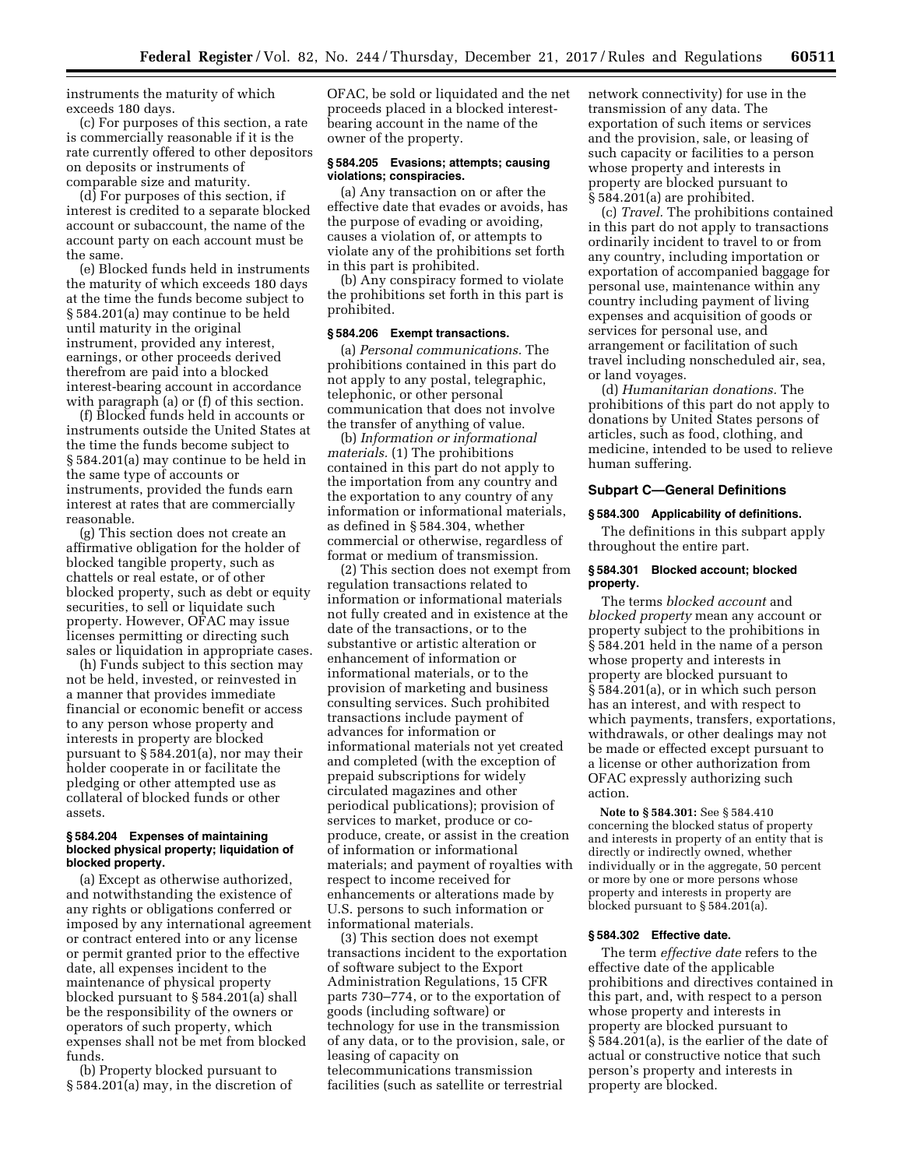instruments the maturity of which exceeds 180 days.

(c) For purposes of this section, a rate is commercially reasonable if it is the rate currently offered to other depositors on deposits or instruments of comparable size and maturity.

(d) For purposes of this section, if interest is credited to a separate blocked account or subaccount, the name of the account party on each account must be the same.

(e) Blocked funds held in instruments the maturity of which exceeds 180 days at the time the funds become subject to § 584.201(a) may continue to be held until maturity in the original instrument, provided any interest, earnings, or other proceeds derived therefrom are paid into a blocked interest-bearing account in accordance with paragraph (a) or (f) of this section.

(f) Blocked funds held in accounts or instruments outside the United States at the time the funds become subject to § 584.201(a) may continue to be held in the same type of accounts or instruments, provided the funds earn interest at rates that are commercially reasonable.

(g) This section does not create an affirmative obligation for the holder of blocked tangible property, such as chattels or real estate, or of other blocked property, such as debt or equity securities, to sell or liquidate such property. However, OFAC may issue licenses permitting or directing such sales or liquidation in appropriate cases.

(h) Funds subject to this section may not be held, invested, or reinvested in a manner that provides immediate financial or economic benefit or access to any person whose property and interests in property are blocked pursuant to § 584.201(a), nor may their holder cooperate in or facilitate the pledging or other attempted use as collateral of blocked funds or other assets.

## **§ 584.204 Expenses of maintaining blocked physical property; liquidation of blocked property.**

(a) Except as otherwise authorized, and notwithstanding the existence of any rights or obligations conferred or imposed by any international agreement or contract entered into or any license or permit granted prior to the effective date, all expenses incident to the maintenance of physical property blocked pursuant to § 584.201(a) shall be the responsibility of the owners or operators of such property, which expenses shall not be met from blocked funds.

(b) Property blocked pursuant to § 584.201(a) may, in the discretion of OFAC, be sold or liquidated and the net proceeds placed in a blocked interestbearing account in the name of the owner of the property.

# **§ 584.205 Evasions; attempts; causing violations; conspiracies.**

(a) Any transaction on or after the effective date that evades or avoids, has the purpose of evading or avoiding, causes a violation of, or attempts to violate any of the prohibitions set forth in this part is prohibited.

(b) Any conspiracy formed to violate the prohibitions set forth in this part is prohibited.

### **§ 584.206 Exempt transactions.**

(a) *Personal communications.* The prohibitions contained in this part do not apply to any postal, telegraphic, telephonic, or other personal communication that does not involve the transfer of anything of value.

(b) *Information or informational materials.* (1) The prohibitions contained in this part do not apply to the importation from any country and the exportation to any country of any information or informational materials, as defined in § 584.304, whether commercial or otherwise, regardless of format or medium of transmission.

(2) This section does not exempt from regulation transactions related to information or informational materials not fully created and in existence at the date of the transactions, or to the substantive or artistic alteration or enhancement of information or informational materials, or to the provision of marketing and business consulting services. Such prohibited transactions include payment of advances for information or informational materials not yet created and completed (with the exception of prepaid subscriptions for widely circulated magazines and other periodical publications); provision of services to market, produce or coproduce, create, or assist in the creation of information or informational materials; and payment of royalties with respect to income received for enhancements or alterations made by U.S. persons to such information or informational materials.

(3) This section does not exempt transactions incident to the exportation of software subject to the Export Administration Regulations, 15 CFR parts 730–774, or to the exportation of goods (including software) or technology for use in the transmission of any data, or to the provision, sale, or leasing of capacity on telecommunications transmission facilities (such as satellite or terrestrial

network connectivity) for use in the transmission of any data. The exportation of such items or services and the provision, sale, or leasing of such capacity or facilities to a person whose property and interests in property are blocked pursuant to § 584.201(a) are prohibited.

(c) *Travel.* The prohibitions contained in this part do not apply to transactions ordinarily incident to travel to or from any country, including importation or exportation of accompanied baggage for personal use, maintenance within any country including payment of living expenses and acquisition of goods or services for personal use, and arrangement or facilitation of such travel including nonscheduled air, sea, or land voyages.

(d) *Humanitarian donations.* The prohibitions of this part do not apply to donations by United States persons of articles, such as food, clothing, and medicine, intended to be used to relieve human suffering.

# **Subpart C—General Definitions**

### **§ 584.300 Applicability of definitions.**

The definitions in this subpart apply throughout the entire part.

# **§ 584.301 Blocked account; blocked property.**

The terms *blocked account* and *blocked property* mean any account or property subject to the prohibitions in § 584.201 held in the name of a person whose property and interests in property are blocked pursuant to § 584.201(a), or in which such person has an interest, and with respect to which payments, transfers, exportations, withdrawals, or other dealings may not be made or effected except pursuant to a license or other authorization from OFAC expressly authorizing such action.

**Note to § 584.301:** See § 584.410 concerning the blocked status of property and interests in property of an entity that is directly or indirectly owned, whether individually or in the aggregate, 50 percent or more by one or more persons whose property and interests in property are blocked pursuant to § 584.201(a).

### **§ 584.302 Effective date.**

The term *effective date* refers to the effective date of the applicable prohibitions and directives contained in this part, and, with respect to a person whose property and interests in property are blocked pursuant to § 584.201(a), is the earlier of the date of actual or constructive notice that such person's property and interests in property are blocked.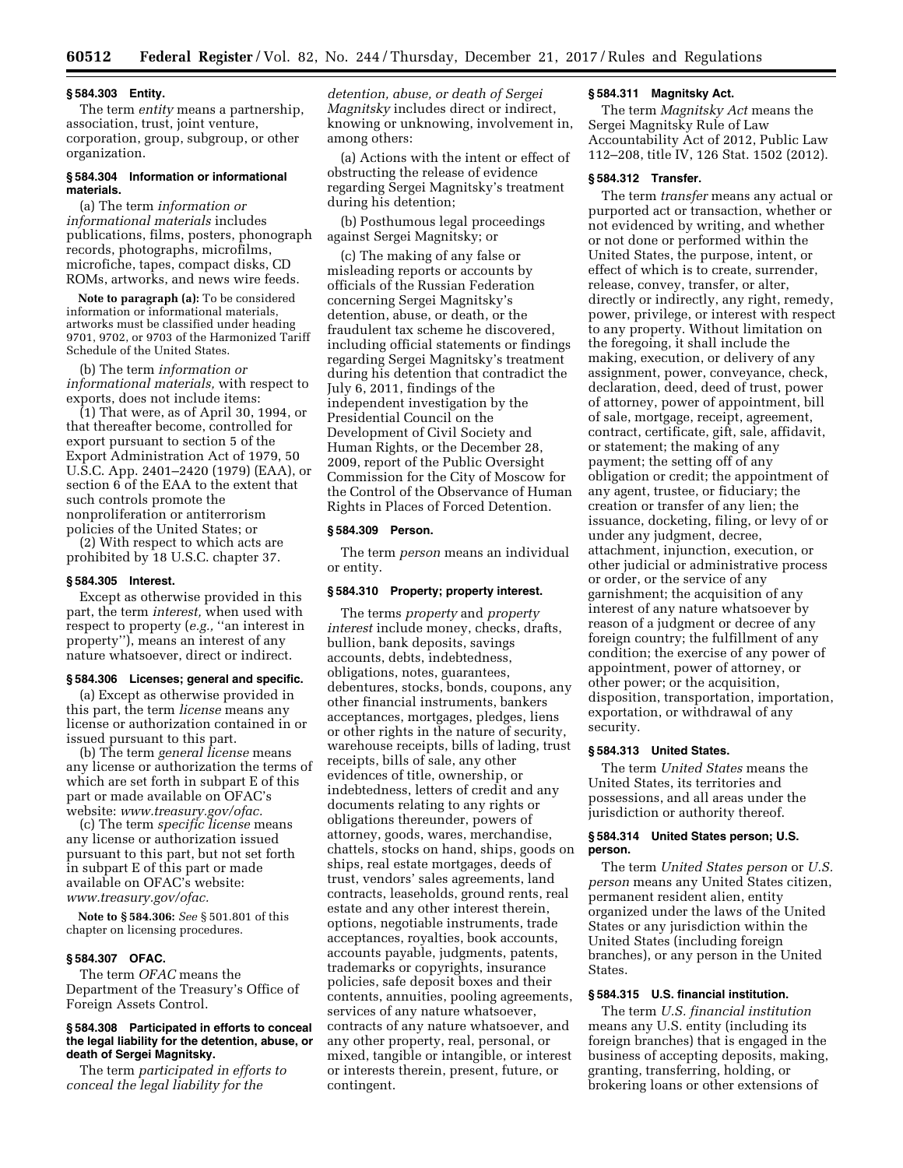# **§ 584.303 Entity.**

The term *entity* means a partnership, association, trust, joint venture, corporation, group, subgroup, or other organization.

## **§ 584.304 Information or informational materials.**

(a) The term *information or informational materials* includes publications, films, posters, phonograph records, photographs, microfilms, microfiche, tapes, compact disks, CD ROMs, artworks, and news wire feeds.

**Note to paragraph (a):** To be considered information or informational materials, artworks must be classified under heading 9701, 9702, or 9703 of the Harmonized Tariff Schedule of the United States.

(b) The term *information or informational materials,* with respect to exports, does not include items:

(1) That were, as of April 30, 1994, or that thereafter become, controlled for export pursuant to section 5 of the Export Administration Act of 1979, 50 U.S.C. App. 2401–2420 (1979) (EAA), or section 6 of the EAA to the extent that such controls promote the nonproliferation or antiterrorism policies of the United States; or

(2) With respect to which acts are prohibited by 18 U.S.C. chapter 37.

# **§ 584.305 Interest.**

Except as otherwise provided in this part, the term *interest,* when used with respect to property (*e.g.,* ''an interest in property''), means an interest of any nature whatsoever, direct or indirect.

#### **§ 584.306 Licenses; general and specific.**

(a) Except as otherwise provided in this part, the term *license* means any license or authorization contained in or issued pursuant to this part.

(b) The term *general license* means any license or authorization the terms of which are set forth in subpart E of this part or made available on OFAC's website: *[www.treasury.gov/ofac.](http://www.treasury.gov/ofac)* 

(c) The term *specific license* means any license or authorization issued pursuant to this part, but not set forth in subpart E of this part or made available on OFAC's website: *[www.treasury.gov/ofac.](http://www.treasury.gov/ofac)* 

**Note to § 584.306:** *See* § 501.801 of this chapter on licensing procedures.

# **§ 584.307 OFAC.**

The term *OFAC* means the Department of the Treasury's Office of Foreign Assets Control.

## **§ 584.308 Participated in efforts to conceal the legal liability for the detention, abuse, or death of Sergei Magnitsky.**

The term *participated in efforts to conceal the legal liability for the* 

*detention, abuse, or death of Sergei Magnitsky* includes direct or indirect, knowing or unknowing, involvement in, among others:

(a) Actions with the intent or effect of obstructing the release of evidence regarding Sergei Magnitsky's treatment during his detention;

(b) Posthumous legal proceedings against Sergei Magnitsky; or

(c) The making of any false or misleading reports or accounts by officials of the Russian Federation concerning Sergei Magnitsky's detention, abuse, or death, or the fraudulent tax scheme he discovered, including official statements or findings regarding Sergei Magnitsky's treatment during his detention that contradict the July 6, 2011, findings of the independent investigation by the Presidential Council on the Development of Civil Society and Human Rights, or the December 28, 2009, report of the Public Oversight Commission for the City of Moscow for the Control of the Observance of Human Rights in Places of Forced Detention.

#### **§ 584.309 Person.**

The term *person* means an individual or entity.

# **§ 584.310 Property; property interest.**

The terms *property* and *property interest* include money, checks, drafts, bullion, bank deposits, savings accounts, debts, indebtedness, obligations, notes, guarantees, debentures, stocks, bonds, coupons, any other financial instruments, bankers acceptances, mortgages, pledges, liens or other rights in the nature of security, warehouse receipts, bills of lading, trust receipts, bills of sale, any other evidences of title, ownership, or indebtedness, letters of credit and any documents relating to any rights or obligations thereunder, powers of attorney, goods, wares, merchandise, chattels, stocks on hand, ships, goods on ships, real estate mortgages, deeds of trust, vendors' sales agreements, land contracts, leaseholds, ground rents, real estate and any other interest therein, options, negotiable instruments, trade acceptances, royalties, book accounts, accounts payable, judgments, patents, trademarks or copyrights, insurance policies, safe deposit boxes and their contents, annuities, pooling agreements, services of any nature whatsoever, contracts of any nature whatsoever, and any other property, real, personal, or mixed, tangible or intangible, or interest or interests therein, present, future, or contingent.

# **§ 584.311 Magnitsky Act.**

The term *Magnitsky Act* means the Sergei Magnitsky Rule of Law Accountability Act of 2012, Public Law 112–208, title IV, 126 Stat. 1502 (2012).

# **§ 584.312 Transfer.**

The term *transfer* means any actual or purported act or transaction, whether or not evidenced by writing, and whether or not done or performed within the United States, the purpose, intent, or effect of which is to create, surrender, release, convey, transfer, or alter, directly or indirectly, any right, remedy, power, privilege, or interest with respect to any property. Without limitation on the foregoing, it shall include the making, execution, or delivery of any assignment, power, conveyance, check, declaration, deed, deed of trust, power of attorney, power of appointment, bill of sale, mortgage, receipt, agreement, contract, certificate, gift, sale, affidavit, or statement; the making of any payment; the setting off of any obligation or credit; the appointment of any agent, trustee, or fiduciary; the creation or transfer of any lien; the issuance, docketing, filing, or levy of or under any judgment, decree, attachment, injunction, execution, or other judicial or administrative process or order, or the service of any garnishment; the acquisition of any interest of any nature whatsoever by reason of a judgment or decree of any foreign country; the fulfillment of any condition; the exercise of any power of appointment, power of attorney, or other power; or the acquisition, disposition, transportation, importation, exportation, or withdrawal of any security.

# **§ 584.313 United States.**

The term *United States* means the United States, its territories and possessions, and all areas under the jurisdiction or authority thereof.

# **§ 584.314 United States person; U.S. person.**

The term *United States person* or *U.S. person* means any United States citizen, permanent resident alien, entity organized under the laws of the United States or any jurisdiction within the United States (including foreign branches), or any person in the United **States** 

# **§ 584.315 U.S. financial institution.**

The term *U.S. financial institution*  means any U.S. entity (including its foreign branches) that is engaged in the business of accepting deposits, making, granting, transferring, holding, or brokering loans or other extensions of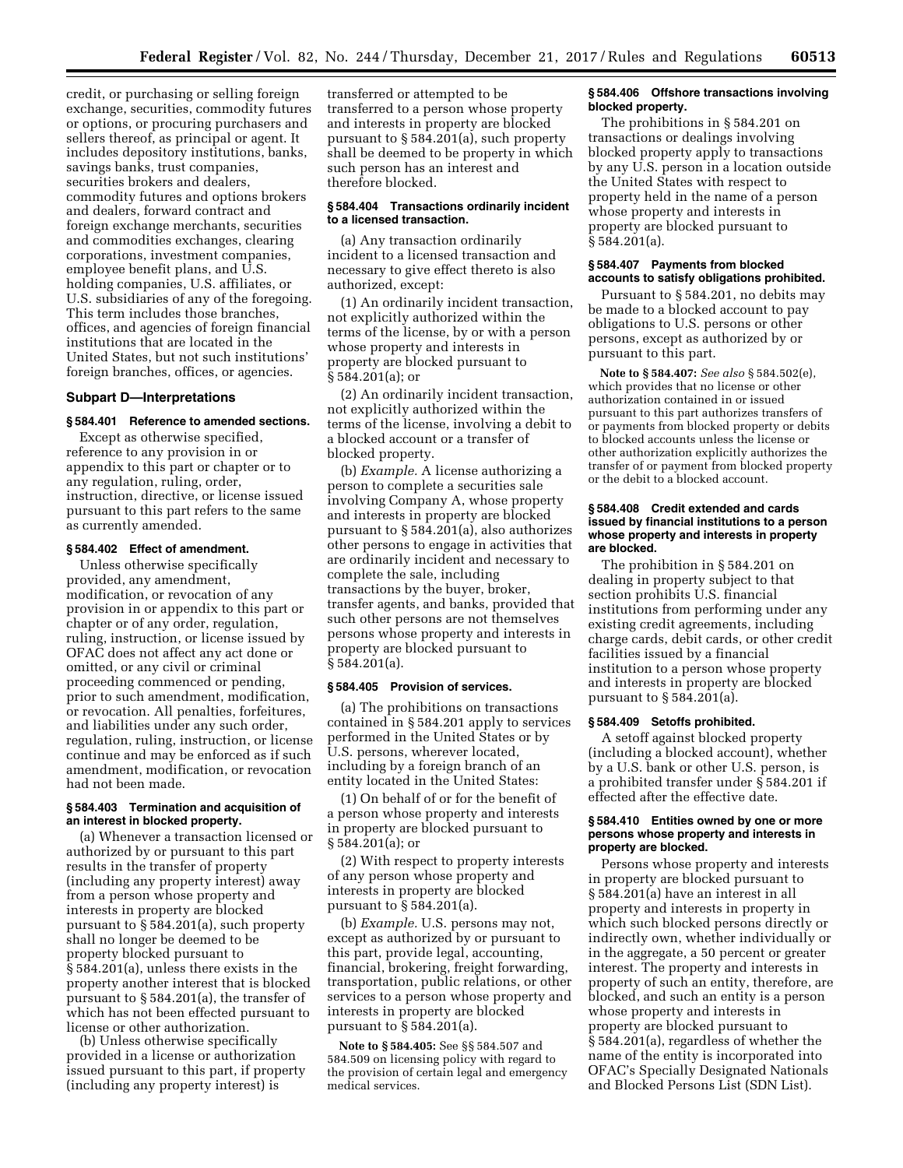credit, or purchasing or selling foreign exchange, securities, commodity futures or options, or procuring purchasers and sellers thereof, as principal or agent. It includes depository institutions, banks, savings banks, trust companies, securities brokers and dealers, commodity futures and options brokers and dealers, forward contract and foreign exchange merchants, securities and commodities exchanges, clearing corporations, investment companies, employee benefit plans, and U.S. holding companies, U.S. affiliates, or U.S. subsidiaries of any of the foregoing. This term includes those branches, offices, and agencies of foreign financial institutions that are located in the United States, but not such institutions' foreign branches, offices, or agencies.

## **Subpart D—Interpretations**

### **§ 584.401 Reference to amended sections.**

Except as otherwise specified, reference to any provision in or appendix to this part or chapter or to any regulation, ruling, order, instruction, directive, or license issued pursuant to this part refers to the same as currently amended.

# **§ 584.402 Effect of amendment.**

Unless otherwise specifically provided, any amendment, modification, or revocation of any provision in or appendix to this part or chapter or of any order, regulation, ruling, instruction, or license issued by OFAC does not affect any act done or omitted, or any civil or criminal proceeding commenced or pending, prior to such amendment, modification, or revocation. All penalties, forfeitures, and liabilities under any such order, regulation, ruling, instruction, or license continue and may be enforced as if such amendment, modification, or revocation had not been made.

## **§ 584.403 Termination and acquisition of an interest in blocked property.**

(a) Whenever a transaction licensed or authorized by or pursuant to this part results in the transfer of property (including any property interest) away from a person whose property and interests in property are blocked pursuant to § 584.201(a), such property shall no longer be deemed to be property blocked pursuant to § 584.201(a), unless there exists in the property another interest that is blocked pursuant to § 584.201(a), the transfer of which has not been effected pursuant to license or other authorization.

(b) Unless otherwise specifically provided in a license or authorization issued pursuant to this part, if property (including any property interest) is

transferred or attempted to be transferred to a person whose property and interests in property are blocked pursuant to § 584.201(a), such property shall be deemed to be property in which such person has an interest and therefore blocked.

# **§ 584.404 Transactions ordinarily incident to a licensed transaction.**

(a) Any transaction ordinarily incident to a licensed transaction and necessary to give effect thereto is also authorized, except:

(1) An ordinarily incident transaction, not explicitly authorized within the terms of the license, by or with a person whose property and interests in property are blocked pursuant to § 584.201(a); or

(2) An ordinarily incident transaction, not explicitly authorized within the terms of the license, involving a debit to a blocked account or a transfer of blocked property.

(b) *Example.* A license authorizing a person to complete a securities sale involving Company A, whose property and interests in property are blocked pursuant to § 584.201(a), also authorizes other persons to engage in activities that are ordinarily incident and necessary to complete the sale, including transactions by the buyer, broker, transfer agents, and banks, provided that such other persons are not themselves persons whose property and interests in property are blocked pursuant to § 584.201(a).

#### **§ 584.405 Provision of services.**

(a) The prohibitions on transactions contained in § 584.201 apply to services performed in the United States or by U.S. persons, wherever located, including by a foreign branch of an entity located in the United States:

(1) On behalf of or for the benefit of a person whose property and interests in property are blocked pursuant to § 584.201(a); or

(2) With respect to property interests of any person whose property and interests in property are blocked pursuant to § 584.201(a).

(b) *Example.* U.S. persons may not, except as authorized by or pursuant to this part, provide legal, accounting, financial, brokering, freight forwarding, transportation, public relations, or other services to a person whose property and interests in property are blocked pursuant to § 584.201(a).

**Note to § 584.405:** See §§ 584.507 and 584.509 on licensing policy with regard to the provision of certain legal and emergency medical services.

## **§ 584.406 Offshore transactions involving blocked property.**

The prohibitions in § 584.201 on transactions or dealings involving blocked property apply to transactions by any U.S. person in a location outside the United States with respect to property held in the name of a person whose property and interests in property are blocked pursuant to § 584.201(a).

# **§ 584.407 Payments from blocked accounts to satisfy obligations prohibited.**

Pursuant to § 584.201, no debits may be made to a blocked account to pay obligations to U.S. persons or other persons, except as authorized by or pursuant to this part.

**Note to § 584.407:** *See also* § 584.502(e), which provides that no license or other authorization contained in or issued pursuant to this part authorizes transfers of or payments from blocked property or debits to blocked accounts unless the license or other authorization explicitly authorizes the transfer of or payment from blocked property or the debit to a blocked account.

## **§ 584.408 Credit extended and cards issued by financial institutions to a person whose property and interests in property are blocked.**

The prohibition in § 584.201 on dealing in property subject to that section prohibits U.S. financial institutions from performing under any existing credit agreements, including charge cards, debit cards, or other credit facilities issued by a financial institution to a person whose property and interests in property are blocked pursuant to § 584.201(a).

## **§ 584.409 Setoffs prohibited.**

A setoff against blocked property (including a blocked account), whether by a U.S. bank or other U.S. person, is a prohibited transfer under § 584.201 if effected after the effective date.

# **§ 584.410 Entities owned by one or more persons whose property and interests in property are blocked.**

Persons whose property and interests in property are blocked pursuant to § 584.201(a) have an interest in all property and interests in property in which such blocked persons directly or indirectly own, whether individually or in the aggregate, a 50 percent or greater interest. The property and interests in property of such an entity, therefore, are blocked, and such an entity is a person whose property and interests in property are blocked pursuant to § 584.201(a), regardless of whether the name of the entity is incorporated into OFAC's Specially Designated Nationals and Blocked Persons List (SDN List).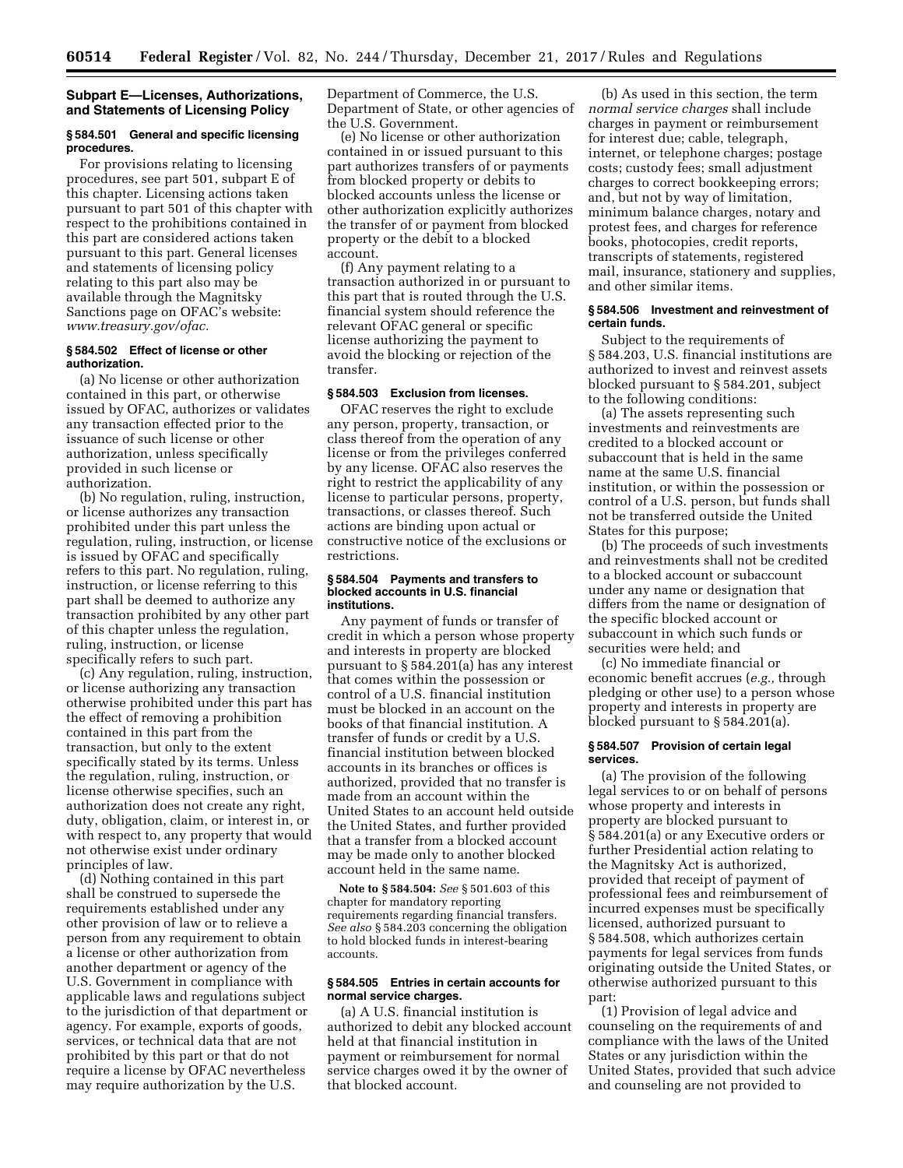# **Subpart E—Licenses, Authorizations, and Statements of Licensing Policy**

### **§ 584.501 General and specific licensing procedures.**

For provisions relating to licensing procedures, see part 501, subpart E of this chapter. Licensing actions taken pursuant to part 501 of this chapter with respect to the prohibitions contained in this part are considered actions taken pursuant to this part. General licenses and statements of licensing policy relating to this part also may be available through the Magnitsky Sanctions page on OFAC's website: *[www.treasury.gov/ofac.](http://www.treasury.gov/ofac)* 

# **§ 584.502 Effect of license or other authorization.**

(a) No license or other authorization contained in this part, or otherwise issued by OFAC, authorizes or validates any transaction effected prior to the issuance of such license or other authorization, unless specifically provided in such license or authorization.

(b) No regulation, ruling, instruction, or license authorizes any transaction prohibited under this part unless the regulation, ruling, instruction, or license is issued by OFAC and specifically refers to this part. No regulation, ruling, instruction, or license referring to this part shall be deemed to authorize any transaction prohibited by any other part of this chapter unless the regulation, ruling, instruction, or license specifically refers to such part.

(c) Any regulation, ruling, instruction, or license authorizing any transaction otherwise prohibited under this part has the effect of removing a prohibition contained in this part from the transaction, but only to the extent specifically stated by its terms. Unless the regulation, ruling, instruction, or license otherwise specifies, such an authorization does not create any right, duty, obligation, claim, or interest in, or with respect to, any property that would not otherwise exist under ordinary principles of law.

(d) Nothing contained in this part shall be construed to supersede the requirements established under any other provision of law or to relieve a person from any requirement to obtain a license or other authorization from another department or agency of the U.S. Government in compliance with applicable laws and regulations subject to the jurisdiction of that department or agency. For example, exports of goods, services, or technical data that are not prohibited by this part or that do not require a license by OFAC nevertheless may require authorization by the U.S.

Department of Commerce, the U.S. Department of State, or other agencies of the U.S. Government.

(e) No license or other authorization contained in or issued pursuant to this part authorizes transfers of or payments from blocked property or debits to blocked accounts unless the license or other authorization explicitly authorizes the transfer of or payment from blocked property or the debit to a blocked account.

(f) Any payment relating to a transaction authorized in or pursuant to this part that is routed through the U.S. financial system should reference the relevant OFAC general or specific license authorizing the payment to avoid the blocking or rejection of the transfer.

# **§ 584.503 Exclusion from licenses.**

OFAC reserves the right to exclude any person, property, transaction, or class thereof from the operation of any license or from the privileges conferred by any license. OFAC also reserves the right to restrict the applicability of any license to particular persons, property, transactions, or classes thereof. Such actions are binding upon actual or constructive notice of the exclusions or restrictions.

### **§ 584.504 Payments and transfers to blocked accounts in U.S. financial institutions.**

Any payment of funds or transfer of credit in which a person whose property and interests in property are blocked pursuant to § 584.201(a) has any interest that comes within the possession or control of a U.S. financial institution must be blocked in an account on the books of that financial institution. A transfer of funds or credit by a U.S. financial institution between blocked accounts in its branches or offices is authorized, provided that no transfer is made from an account within the United States to an account held outside the United States, and further provided that a transfer from a blocked account may be made only to another blocked account held in the same name.

**Note to § 584.504:** *See* § 501.603 of this chapter for mandatory reporting requirements regarding financial transfers. *See also* § 584.203 concerning the obligation to hold blocked funds in interest-bearing accounts.

### **§ 584.505 Entries in certain accounts for normal service charges.**

(a) A U.S. financial institution is authorized to debit any blocked account held at that financial institution in payment or reimbursement for normal service charges owed it by the owner of that blocked account.

(b) As used in this section, the term *normal service charges* shall include charges in payment or reimbursement for interest due; cable, telegraph, internet, or telephone charges; postage costs; custody fees; small adjustment charges to correct bookkeeping errors; and, but not by way of limitation, minimum balance charges, notary and protest fees, and charges for reference books, photocopies, credit reports, transcripts of statements, registered mail, insurance, stationery and supplies, and other similar items.

## **§ 584.506 Investment and reinvestment of certain funds.**

Subject to the requirements of § 584.203, U.S. financial institutions are authorized to invest and reinvest assets blocked pursuant to § 584.201, subject to the following conditions:

(a) The assets representing such investments and reinvestments are credited to a blocked account or subaccount that is held in the same name at the same U.S. financial institution, or within the possession or control of a U.S. person, but funds shall not be transferred outside the United States for this purpose;

(b) The proceeds of such investments and reinvestments shall not be credited to a blocked account or subaccount under any name or designation that differs from the name or designation of the specific blocked account or subaccount in which such funds or securities were held; and

(c) No immediate financial or economic benefit accrues (*e.g.,* through pledging or other use) to a person whose property and interests in property are blocked pursuant to § 584.201(a).

### **§ 584.507 Provision of certain legal services.**

(a) The provision of the following legal services to or on behalf of persons whose property and interests in property are blocked pursuant to § 584.201(a) or any Executive orders or further Presidential action relating to the Magnitsky Act is authorized, provided that receipt of payment of professional fees and reimbursement of incurred expenses must be specifically licensed, authorized pursuant to § 584.508, which authorizes certain payments for legal services from funds originating outside the United States, or otherwise authorized pursuant to this part:

(1) Provision of legal advice and counseling on the requirements of and compliance with the laws of the United States or any jurisdiction within the United States, provided that such advice and counseling are not provided to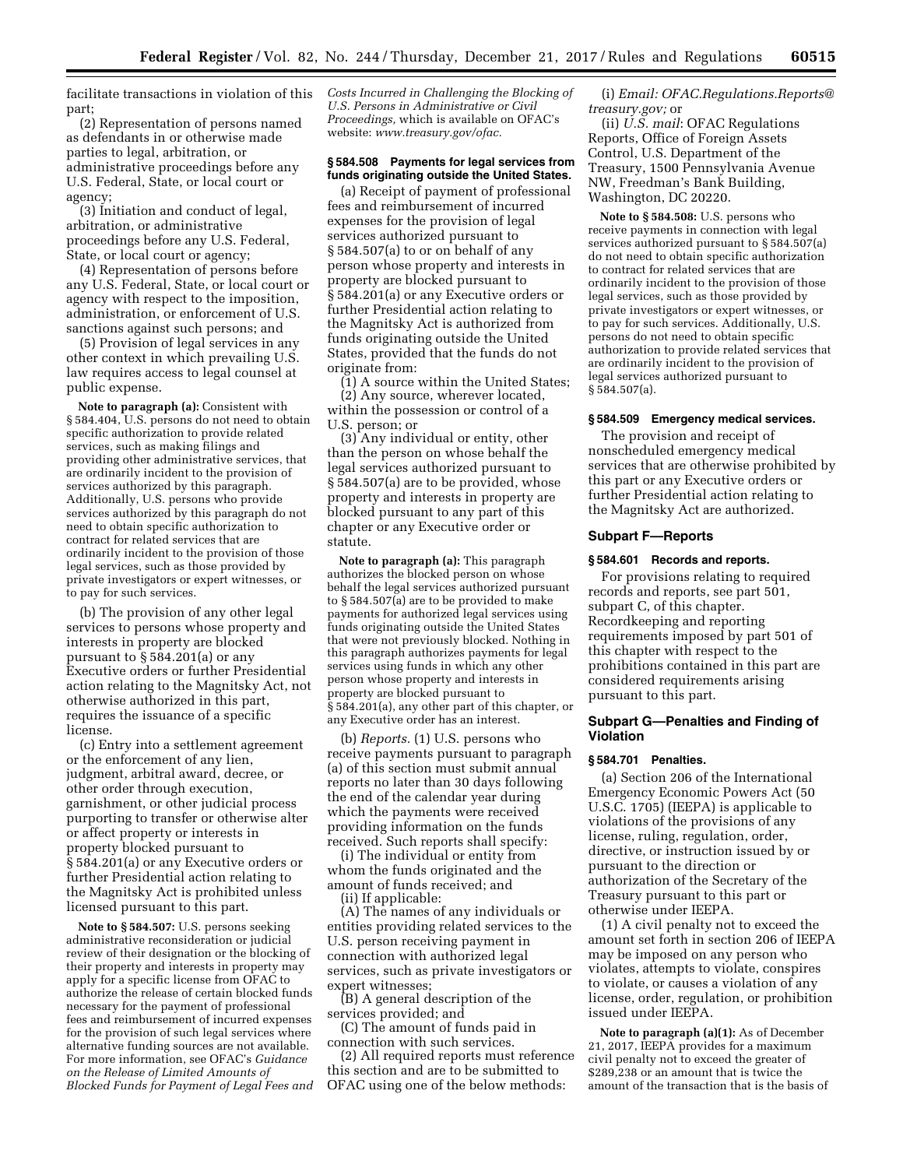facilitate transactions in violation of this part;

(2) Representation of persons named as defendants in or otherwise made parties to legal, arbitration, or administrative proceedings before any U.S. Federal, State, or local court or agency;

(3) Initiation and conduct of legal, arbitration, or administrative proceedings before any U.S. Federal, State, or local court or agency;

(4) Representation of persons before any U.S. Federal, State, or local court or agency with respect to the imposition, administration, or enforcement of U.S. sanctions against such persons; and

(5) Provision of legal services in any other context in which prevailing U.S. law requires access to legal counsel at public expense.

**Note to paragraph (a):** Consistent with § 584.404, U.S. persons do not need to obtain specific authorization to provide related services, such as making filings and providing other administrative services, that are ordinarily incident to the provision of services authorized by this paragraph. Additionally, U.S. persons who provide services authorized by this paragraph do not need to obtain specific authorization to contract for related services that are ordinarily incident to the provision of those legal services, such as those provided by private investigators or expert witnesses, or to pay for such services.

(b) The provision of any other legal services to persons whose property and interests in property are blocked pursuant to § 584.201(a) or any Executive orders or further Presidential action relating to the Magnitsky Act, not otherwise authorized in this part, requires the issuance of a specific license.

(c) Entry into a settlement agreement or the enforcement of any lien, judgment, arbitral award, decree, or other order through execution, garnishment, or other judicial process purporting to transfer or otherwise alter or affect property or interests in property blocked pursuant to § 584.201(a) or any Executive orders or further Presidential action relating to the Magnitsky Act is prohibited unless licensed pursuant to this part.

**Note to § 584.507:** U.S. persons seeking administrative reconsideration or judicial review of their designation or the blocking of their property and interests in property may apply for a specific license from OFAC to authorize the release of certain blocked funds necessary for the payment of professional fees and reimbursement of incurred expenses for the provision of such legal services where alternative funding sources are not available. For more information, see OFAC's *Guidance on the Release of Limited Amounts of Blocked Funds for Payment of Legal Fees and*  *Costs Incurred in Challenging the Blocking of U.S. Persons in Administrative or Civil Proceedings,* which is available on OFAC's website: *[www.treasury.gov/ofac.](http://www.treasury.gov/ofac)* 

# **§ 584.508 Payments for legal services from funds originating outside the United States.**

(a) Receipt of payment of professional fees and reimbursement of incurred expenses for the provision of legal services authorized pursuant to § 584.507(a) to or on behalf of any person whose property and interests in property are blocked pursuant to § 584.201(a) or any Executive orders or further Presidential action relating to the Magnitsky Act is authorized from funds originating outside the United States, provided that the funds do not originate from:

(1) A source within the United States;

(2) Any source, wherever located, within the possession or control of a U.S. person; or

(3) Any individual or entity, other than the person on whose behalf the legal services authorized pursuant to § 584.507(a) are to be provided, whose property and interests in property are blocked pursuant to any part of this chapter or any Executive order or statute.

**Note to paragraph (a):** This paragraph authorizes the blocked person on whose behalf the legal services authorized pursuant to § 584.507(a) are to be provided to make payments for authorized legal services using funds originating outside the United States that were not previously blocked. Nothing in this paragraph authorizes payments for legal services using funds in which any other person whose property and interests in property are blocked pursuant to § 584.201(a), any other part of this chapter, or any Executive order has an interest.

(b) *Reports.* (1) U.S. persons who receive payments pursuant to paragraph (a) of this section must submit annual reports no later than 30 days following the end of the calendar year during which the payments were received providing information on the funds received. Such reports shall specify:

(i) The individual or entity from whom the funds originated and the amount of funds received; and (ii) If applicable:

(A) The names of any individuals or entities providing related services to the U.S. person receiving payment in connection with authorized legal services, such as private investigators or expert witnesses;

(B) A general description of the services provided; and

(C) The amount of funds paid in connection with such services.

(2) All required reports must reference this section and are to be submitted to OFAC using one of the below methods:

(i) *Email: [OFAC.Regulations.Reports@](mailto:OFAC.Regulations.Reports@treasury.gov) [treasury.gov;](mailto:OFAC.Regulations.Reports@treasury.gov)* or

(ii) *U.S. mail*: OFAC Regulations Reports, Office of Foreign Assets Control, U.S. Department of the Treasury, 1500 Pennsylvania Avenue NW, Freedman's Bank Building, Washington, DC 20220.

**Note to § 584.508:** U.S. persons who receive payments in connection with legal services authorized pursuant to § 584.507(a) do not need to obtain specific authorization to contract for related services that are ordinarily incident to the provision of those legal services, such as those provided by private investigators or expert witnesses, or to pay for such services. Additionally, U.S. persons do not need to obtain specific authorization to provide related services that are ordinarily incident to the provision of legal services authorized pursuant to § 584.507(a).

### **§ 584.509 Emergency medical services.**

The provision and receipt of nonscheduled emergency medical services that are otherwise prohibited by this part or any Executive orders or further Presidential action relating to the Magnitsky Act are authorized.

# **Subpart F—Reports**

## **§ 584.601 Records and reports.**

For provisions relating to required records and reports, see part 501, subpart C, of this chapter. Recordkeeping and reporting requirements imposed by part 501 of this chapter with respect to the prohibitions contained in this part are considered requirements arising pursuant to this part.

# **Subpart G—Penalties and Finding of Violation**

# **§ 584.701 Penalties.**

(a) Section 206 of the International Emergency Economic Powers Act (50 U.S.C. 1705) (IEEPA) is applicable to violations of the provisions of any license, ruling, regulation, order, directive, or instruction issued by or pursuant to the direction or authorization of the Secretary of the Treasury pursuant to this part or otherwise under IEEPA.

(1) A civil penalty not to exceed the amount set forth in section 206 of IEEPA may be imposed on any person who violates, attempts to violate, conspires to violate, or causes a violation of any license, order, regulation, or prohibition issued under IEEPA.

**Note to paragraph (a)(1):** As of December 21, 2017, IEEPA provides for a maximum civil penalty not to exceed the greater of \$289,238 or an amount that is twice the amount of the transaction that is the basis of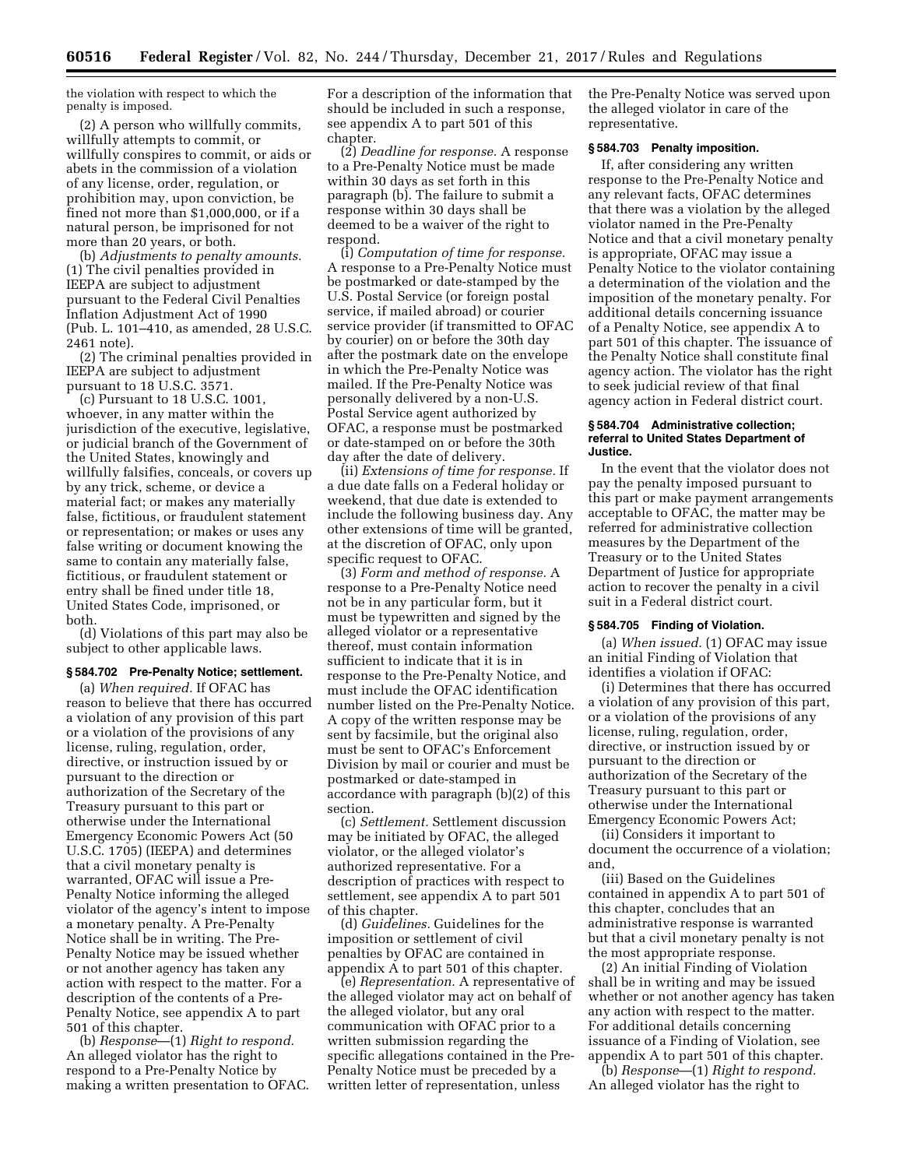the violation with respect to which the penalty is imposed.

(2) A person who willfully commits, willfully attempts to commit, or willfully conspires to commit, or aids or abets in the commission of a violation of any license, order, regulation, or prohibition may, upon conviction, be fined not more than \$1,000,000, or if a natural person, be imprisoned for not more than 20 years, or both.

(b) *Adjustments to penalty amounts.*  (1) The civil penalties provided in IEEPA are subject to adjustment pursuant to the Federal Civil Penalties Inflation Adjustment Act of 1990 (Pub. L. 101–410, as amended, 28 U.S.C. 2461 note).

(2) The criminal penalties provided in IEEPA are subject to adjustment pursuant to 18 U.S.C. 3571.

(c) Pursuant to 18 U.S.C. 1001, whoever, in any matter within the jurisdiction of the executive, legislative, or judicial branch of the Government of the United States, knowingly and willfully falsifies, conceals, or covers up by any trick, scheme, or device a material fact; or makes any materially false, fictitious, or fraudulent statement or representation; or makes or uses any false writing or document knowing the same to contain any materially false, fictitious, or fraudulent statement or entry shall be fined under title 18, United States Code, imprisoned, or both.

(d) Violations of this part may also be subject to other applicable laws.

# **§ 584.702 Pre-Penalty Notice; settlement.**

(a) *When required.* If OFAC has reason to believe that there has occurred a violation of any provision of this part or a violation of the provisions of any license, ruling, regulation, order, directive, or instruction issued by or pursuant to the direction or authorization of the Secretary of the Treasury pursuant to this part or otherwise under the International Emergency Economic Powers Act (50 U.S.C. 1705) (IEEPA) and determines that a civil monetary penalty is warranted, OFAC will issue a Pre-Penalty Notice informing the alleged violator of the agency's intent to impose a monetary penalty. A Pre-Penalty Notice shall be in writing. The Pre-Penalty Notice may be issued whether or not another agency has taken any action with respect to the matter. For a description of the contents of a Pre-Penalty Notice, see appendix A to part 501 of this chapter.

(b) *Response*—(1) *Right to respond.*  An alleged violator has the right to respond to a Pre-Penalty Notice by making a written presentation to OFAC. For a description of the information that should be included in such a response, see appendix A to part 501 of this chapter.

(2) *Deadline for response.* A response to a Pre-Penalty Notice must be made within 30 days as set forth in this paragraph (b). The failure to submit a response within 30 days shall be deemed to be a waiver of the right to respond.

(i) *Computation of time for response.*  A response to a Pre-Penalty Notice must be postmarked or date-stamped by the U.S. Postal Service (or foreign postal service, if mailed abroad) or courier service provider (if transmitted to OFAC by courier) on or before the 30th day after the postmark date on the envelope in which the Pre-Penalty Notice was mailed. If the Pre-Penalty Notice was personally delivered by a non-U.S. Postal Service agent authorized by OFAC, a response must be postmarked or date-stamped on or before the 30th day after the date of delivery.

(ii) *Extensions of time for response.* If a due date falls on a Federal holiday or weekend, that due date is extended to include the following business day. Any other extensions of time will be granted, at the discretion of OFAC, only upon specific request to OFAC.

(3) *Form and method of response.* A response to a Pre-Penalty Notice need not be in any particular form, but it must be typewritten and signed by the alleged violator or a representative thereof, must contain information sufficient to indicate that it is in response to the Pre-Penalty Notice, and must include the OFAC identification number listed on the Pre-Penalty Notice. A copy of the written response may be sent by facsimile, but the original also must be sent to OFAC's Enforcement Division by mail or courier and must be postmarked or date-stamped in accordance with paragraph (b)(2) of this section.

(c) *Settlement.* Settlement discussion may be initiated by OFAC, the alleged violator, or the alleged violator's authorized representative. For a description of practices with respect to settlement, see appendix A to part 501 of this chapter.

(d) *Guidelines.* Guidelines for the imposition or settlement of civil penalties by OFAC are contained in appendix A to part 501 of this chapter.

(e) *Representation.* A representative of the alleged violator may act on behalf of the alleged violator, but any oral communication with OFAC prior to a written submission regarding the specific allegations contained in the Pre-Penalty Notice must be preceded by a written letter of representation, unless

the Pre-Penalty Notice was served upon the alleged violator in care of the representative.

# **§ 584.703 Penalty imposition.**

If, after considering any written response to the Pre-Penalty Notice and any relevant facts, OFAC determines that there was a violation by the alleged violator named in the Pre-Penalty Notice and that a civil monetary penalty is appropriate, OFAC may issue a Penalty Notice to the violator containing a determination of the violation and the imposition of the monetary penalty. For additional details concerning issuance of a Penalty Notice, see appendix A to part 501 of this chapter. The issuance of the Penalty Notice shall constitute final agency action. The violator has the right to seek judicial review of that final agency action in Federal district court.

# **§ 584.704 Administrative collection; referral to United States Department of Justice.**

In the event that the violator does not pay the penalty imposed pursuant to this part or make payment arrangements acceptable to OFAC, the matter may be referred for administrative collection measures by the Department of the Treasury or to the United States Department of Justice for appropriate action to recover the penalty in a civil suit in a Federal district court.

### **§ 584.705 Finding of Violation.**

(a) *When issued.* (1) OFAC may issue an initial Finding of Violation that identifies a violation if OFAC:

(i) Determines that there has occurred a violation of any provision of this part, or a violation of the provisions of any license, ruling, regulation, order, directive, or instruction issued by or pursuant to the direction or authorization of the Secretary of the Treasury pursuant to this part or otherwise under the International Emergency Economic Powers Act;

(ii) Considers it important to document the occurrence of a violation; and,

(iii) Based on the Guidelines contained in appendix A to part 501 of this chapter, concludes that an administrative response is warranted but that a civil monetary penalty is not the most appropriate response.

(2) An initial Finding of Violation shall be in writing and may be issued whether or not another agency has taken any action with respect to the matter. For additional details concerning issuance of a Finding of Violation, see appendix A to part 501 of this chapter.

(b) *Response*—(1) *Right to respond.*  An alleged violator has the right to